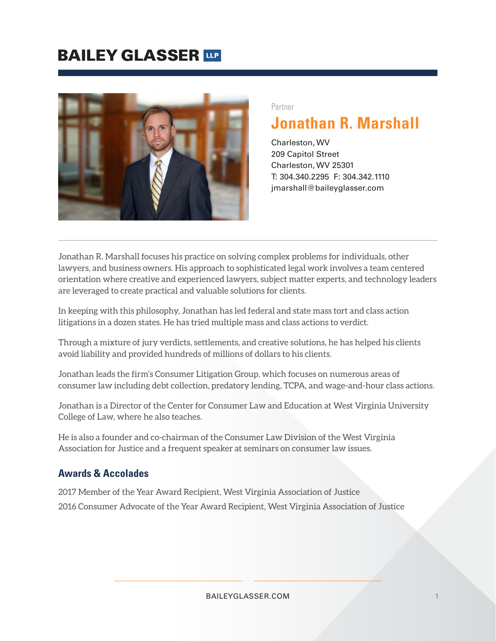

#### Partner

## **Jonathan R. Marshall**

Charleston, WV 209 Capitol Street Charleston, WV 25301 T: 304.340.2295 F: 304.342.1110 jmarshall@baileyglasser.com

Jonathan R. Marshall focuses his practice on solving complex problems for individuals, other lawyers, and business owners. His approach to sophisticated legal work involves a team centered orientation where creative and experienced lawyers, subject matter experts, and technology leaders are leveraged to create practical and valuable solutions for clients.

In keeping with this philosophy, Jonathan has led federal and state mass tort and class action litigations in a dozen states. He has tried multiple mass and class actions to verdict.

Through a mixture of jury verdicts, settlements, and creative solutions, he has helped his clients avoid liability and provided hundreds of millions of dollars to his clients.

Jonathan leads the firm's Consumer Litigation Group, which focuses on numerous areas of consumer law including debt collection, predatory lending, TCPA, and wage-and-hour class actions.

Jonathan is a Director of the Center for Consumer Law and Education at West Virginia University College of Law, where he also teaches.

He is also a founder and co-chairman of the Consumer Law Division of the West Virginia Association for Justice and a frequent speaker at seminars on consumer law issues.

#### **Awards & Accolades**

2017 Member of the Year Award Recipient, West Virginia Association of Justice 2016 Consumer Advocate of the Year Award Recipient, West Virginia Association of Justice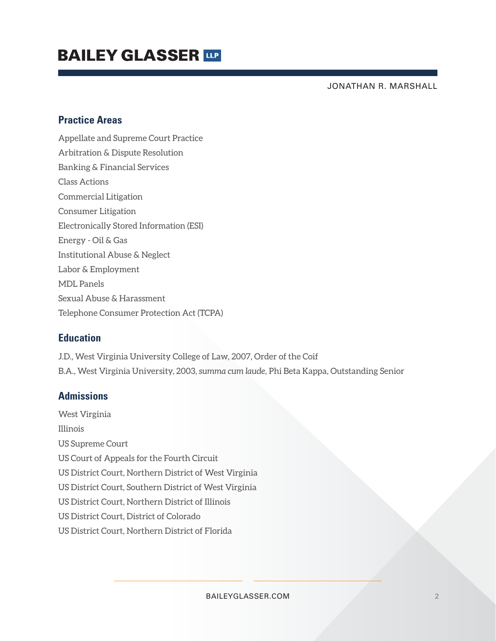## **BAILEY GLASSER THE**

JONATHAN R. MARSHALL

### **Practice Areas**

Appellate and Supreme Court Practice Arbitration & Dispute Resolution Banking & Financial Services Class Actions Commercial Litigation Consumer Litigation Electronically Stored Information (ESI) Energy - Oil & Gas Institutional Abuse & Neglect Labor & Employment MDL Panels Sexual Abuse & Harassment Telephone Consumer Protection Act (TCPA)

### **Education**

J.D., West Virginia University College of Law, 2007, Order of the Coif B.A., West Virginia University, 2003, *summa cum laude,* Phi Beta Kappa, Outstanding Senior

### **Admissions**

West Virginia Illinois US Supreme Court US Court of Appeals for the Fourth Circuit US District Court, Northern District of West Virginia US District Court, Southern District of West Virginia US District Court, Northern District of Illinois US District Court, District of Colorado US District Court, Northern District of Florida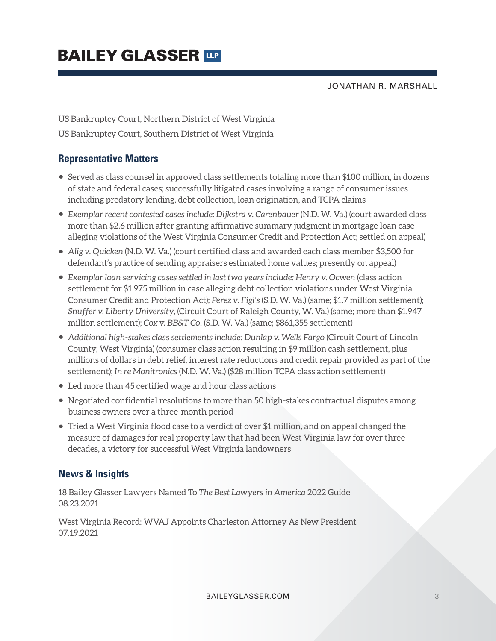JONATHAN R. MARSHALL

US Bankruptcy Court, Northern District of West Virginia US Bankruptcy Court, Southern District of West Virginia

### **Representative Matters**

- Served as class counsel in approved class settlements totaling more than \$100 million, in dozens of state and federal cases; successfully litigated cases involving a range of consumer issues including predatory lending, debt collection, loan origination, and TCPA claims
- *Exemplar recent contested cases include*: *Dijkstra v. Carenbauer* (N.D. W. Va.) (court awarded class more than \$2.6 million after granting affirmative summary judgment in mortgage loan case alleging violations of the West Virginia Consumer Credit and Protection Act; settled on appeal)
- *Alig v. Quicken* (N.D. W. Va.) (court certified class and awarded each class member \$3,500 for defendant's practice of sending appraisers estimated home values; presently on appeal)
- Exemplar loan servicing cases settled in last two years include: Henry v. Ocwen (class action settlement for \$1.975 million in case alleging debt collection violations under West Virginia Consumer Credit and Protection Act); *Perez v. Figi's* (S.D. W. Va.) (same; \$1.7 million settlement); *Snuffer v. Liberty University,* (Circuit Court of Raleigh County, W. Va.) (same; more than \$1.947 million settlement); *Cox v. BB&T Co.* (S.D. W. Va.) (same; \$861,355 settlement)
- *Additional high-stakes class settlements include: Dunlap v. Wells Fargo* (Circuit Court of Lincoln County, West Virginia) (consumer class action resulting in \$9 million cash settlement, plus millions of dollars in debt relief, interest rate reductions and credit repair provided as part of the settlement); *In re Monitronics* (N.D. W. Va.) (\$28 million TCPA class action settlement)
- Led more than 45 certified wage and hour class actions
- Negotiated confidential resolutions to more than 50 high-stakes contractual disputes among business owners over a three-month period
- Tried a West Virginia flood case to a verdict of over \$1 million, and on appeal changed the measure of damages for real property law that had been West Virginia law for over three decades, a victory for successful West Virginia landowners

### **News & Insights**

18 Bailey Glasser Lawyers Named To *The Best Lawyers in America* 2022 Guide 08.23.2021

West Virginia Record: WVAJ Appoints Charleston Attorney As New President 07.19.2021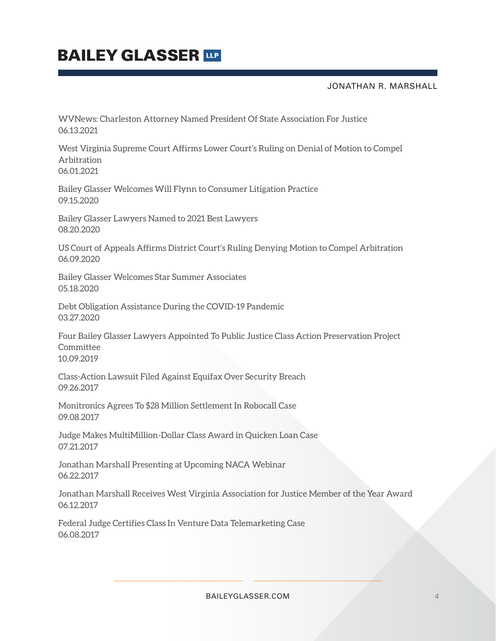#### JONATHAN R. MARSHALL

WVNews: Charleston Attorney Named President Of State Association For Justice 06.13.2021

West Virginia Supreme Court Affirms Lower Court's Ruling on Denial of Motion to Compel Arbitration 06.01.2021

Bailey Glasser Welcomes Will Flynn to Consumer Litigation Practice 09.15.2020

Bailey Glasser Lawyers Named to 2021 Best Lawyers 08.20.2020

US Court of Appeals Affirms District Court's Ruling Denying Motion to Compel Arbitration 06.09.2020

Bailey Glasser Welcomes Star Summer Associates 05.18.2020

Debt Obligation Assistance During the COVID-19 Pandemic 03.27.2020

Four Bailey Glasser Lawyers Appointed To Public Justice Class Action Preservation Project Committee 10.09.2019

Class-Action Lawsuit Filed Against Equifax Over Security Breach 09.26.2017

Monitronics Agrees To \$28 Million Settlement In Robocall Case 09.08.2017

Judge Makes MultiMillion-Dollar Class Award in Quicken Loan Case 07.21.2017

Jonathan Marshall Presenting at Upcoming NACA Webinar 06.22.2017

Jonathan Marshall Receives West Virginia Association for Justice Member of the Year Award 06.12.2017

Federal Judge Certifies Class In Venture Data Telemarketing Case 06.08.2017